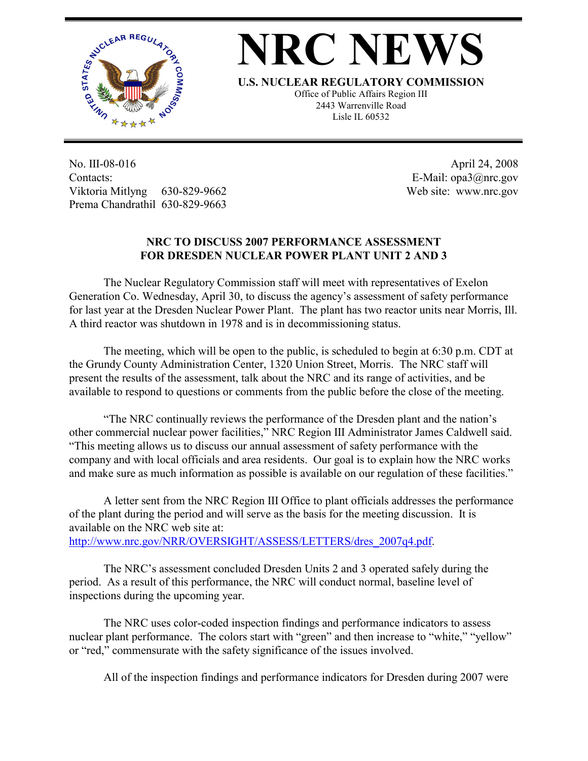

## **NRC NEWS**

**U.S. NUCLEAR REGULATORY COMMISSION**

Office of Public Affairs Region III 2443 Warrenville Road Lisle IL 60532

No. III-08-016 Contacts: Viktoria Mitlyng 630-829-9662 Prema Chandrathil 630-829-9663

 April 24, 2008 E-Mail: opa3@nrc.gov Web site: www.nrc.gov

## **NRC TO DISCUSS 2007 PERFORMANCE ASSESSMENT FOR DRESDEN NUCLEAR POWER PLANT UNIT 2 AND 3**

 The Nuclear Regulatory Commission staff will meet with representatives of Exelon Generation Co. Wednesday, April 30, to discuss the agency's assessment of safety performance for last year at the Dresden Nuclear Power Plant. The plant has two reactor units near Morris, Ill. A third reactor was shutdown in 1978 and is in decommissioning status.

 The meeting, which will be open to the public, is scheduled to begin at 6:30 p.m. CDT at the Grundy County Administration Center, 1320 Union Street, Morris. The NRC staff will present the results of the assessment, talk about the NRC and its range of activities, and be available to respond to questions or comments from the public before the close of the meeting.

 "The NRC continually reviews the performance of the Dresden plant and the nation's other commercial nuclear power facilities," NRC Region III Administrator James Caldwell said. "This meeting allows us to discuss our annual assessment of safety performance with the company and with local officials and area residents. Our goal is to explain how the NRC works and make sure as much information as possible is available on our regulation of these facilities."

 A letter sent from the NRC Region III Office to plant officials addresses the performance of the plant during the period and will serve as the basis for the meeting discussion. It is available on the NRC web site at: http://www.nrc.gov/NRR/OVERSIGHT/ASSESS/LETTERS/dres\_2007q4.pdf.

The NRC's assessment concluded Dresden Units 2 and 3 operated safely during the

period. As a result of this performance, the NRC will conduct normal, baseline level of inspections during the upcoming year.

 The NRC uses color-coded inspection findings and performance indicators to assess nuclear plant performance. The colors start with "green" and then increase to "white," "yellow" or "red," commensurate with the safety significance of the issues involved.

All of the inspection findings and performance indicators for Dresden during 2007 were